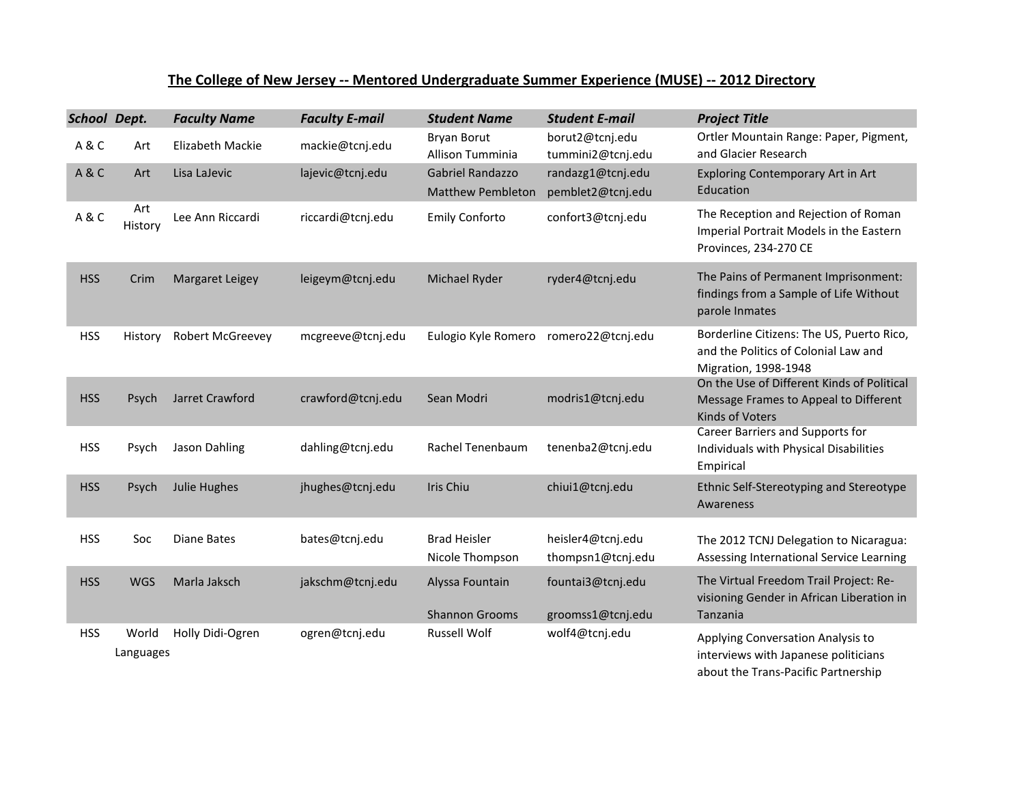## **The College of New Jersey -- Mentored Undergraduate Summer Experience (MUSE) -- 2012 Directory**

| School Dept. |                    | <b>Faculty Name</b>    | <b>Faculty E-mail</b> | <b>Student Name</b>                          | <b>Student E-mail</b>                  | <b>Project Title</b>                                                                                             |
|--------------|--------------------|------------------------|-----------------------|----------------------------------------------|----------------------------------------|------------------------------------------------------------------------------------------------------------------|
| A&C          | Art                | Elizabeth Mackie       | mackie@tcnj.edu       | <b>Bryan Borut</b><br>Allison Tumminia       | borut2@tcnj.edu<br>tummini2@tcnj.edu   | Ortler Mountain Range: Paper, Pigment,<br>and Glacier Research                                                   |
| A&C          | Art                | Lisa LaJevic           | lajevic@tcnj.edu      | Gabriel Randazzo<br><b>Matthew Pembleton</b> | randazg1@tcnj.edu<br>pemblet2@tcnj.edu | <b>Exploring Contemporary Art in Art</b><br>Education                                                            |
| A&C          | Art<br>History     | Lee Ann Riccardi       | riccardi@tcnj.edu     | <b>Emily Conforto</b>                        | confort3@tcnj.edu                      | The Reception and Rejection of Roman<br>Imperial Portrait Models in the Eastern<br>Provinces, 234-270 CE         |
| <b>HSS</b>   | Crim               | <b>Margaret Leigey</b> | leigeym@tcnj.edu      | Michael Ryder                                | ryder4@tcnj.edu                        | The Pains of Permanent Imprisonment:<br>findings from a Sample of Life Without<br>parole Inmates                 |
| <b>HSS</b>   | History            | Robert McGreevey       | mcgreeve@tcnj.edu     | Eulogio Kyle Romero                          | romero22@tcnj.edu                      | Borderline Citizens: The US, Puerto Rico,<br>and the Politics of Colonial Law and<br>Migration, 1998-1948        |
| <b>HSS</b>   | Psych              | Jarret Crawford        | crawford@tcnj.edu     | Sean Modri                                   | modris1@tcnj.edu                       | On the Use of Different Kinds of Political<br>Message Frames to Appeal to Different<br>Kinds of Voters           |
| <b>HSS</b>   | Psych              | Jason Dahling          | dahling@tcnj.edu      | Rachel Tenenbaum                             | tenenba2@tcnj.edu                      | Career Barriers and Supports for<br>Individuals with Physical Disabilities<br>Empirical                          |
| <b>HSS</b>   | Psych              | Julie Hughes           | jhughes@tcnj.edu      | Iris Chiu                                    | chiui1@tcnj.edu                        | Ethnic Self-Stereotyping and Stereotype<br>Awareness                                                             |
| <b>HSS</b>   | Soc                | <b>Diane Bates</b>     | bates@tcnj.edu        | <b>Brad Heisler</b><br>Nicole Thompson       | heisler4@tcnj.edu<br>thompsn1@tcnj.edu | The 2012 TCNJ Delegation to Nicaragua:<br>Assessing International Service Learning                               |
| <b>HSS</b>   | <b>WGS</b>         | Marla Jaksch           | jakschm@tcnj.edu      | Alyssa Fountain<br><b>Shannon Grooms</b>     | fountai3@tcnj.edu<br>groomss1@tcnj.edu | The Virtual Freedom Trail Project: Re-<br>visioning Gender in African Liberation in<br>Tanzania                  |
| <b>HSS</b>   | World<br>Languages | Holly Didi-Ogren       | ogren@tcnj.edu        | <b>Russell Wolf</b>                          | wolf4@tcnj.edu                         | Applying Conversation Analysis to<br>interviews with Japanese politicians<br>about the Trans-Pacific Partnership |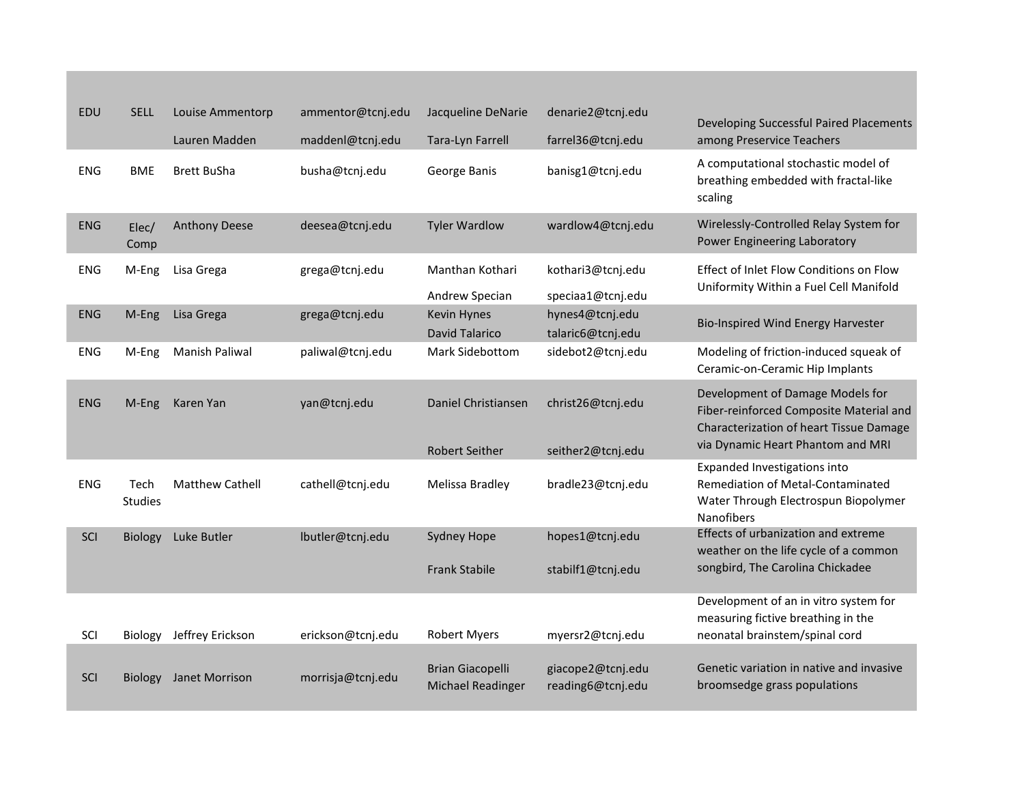| EDU        | <b>SELL</b>            | Louise Ammentorp<br>Lauren Madden | ammentor@tcnj.edu<br>maddenl@tcnj.edu | Jacqueline DeNarie<br>Tara-Lyn Farrell              | denarie2@tcnj.edu<br>farrel36@tcnj.edu | Developing Successful Paired Placements<br>among Preservice Teachers                                                                                        |
|------------|------------------------|-----------------------------------|---------------------------------------|-----------------------------------------------------|----------------------------------------|-------------------------------------------------------------------------------------------------------------------------------------------------------------|
| <b>ENG</b> | <b>BME</b>             | <b>Brett BuSha</b>                | busha@tcnj.edu                        | George Banis                                        | banisg1@tcnj.edu                       | A computational stochastic model of<br>breathing embedded with fractal-like<br>scaling                                                                      |
| <b>ENG</b> | Elec/<br>Comp          | <b>Anthony Deese</b>              | deesea@tcnj.edu                       | <b>Tyler Wardlow</b>                                | wardlow4@tcnj.edu                      | Wirelessly-Controlled Relay System for<br>Power Engineering Laboratory                                                                                      |
| <b>ENG</b> | M-Eng                  | Lisa Grega                        | grega@tcnj.edu                        | Manthan Kothari<br>Andrew Specian                   | kothari3@tcnj.edu<br>speciaa1@tcnj.edu | Effect of Inlet Flow Conditions on Flow<br>Uniformity Within a Fuel Cell Manifold                                                                           |
| <b>ENG</b> | M-Eng                  | Lisa Grega                        | grega@tcnj.edu                        | Kevin Hynes<br><b>David Talarico</b>                | hynes4@tcnj.edu<br>talaric6@tcnj.edu   | <b>Bio-Inspired Wind Energy Harvester</b>                                                                                                                   |
| <b>ENG</b> | M-Eng                  | Manish Paliwal                    | paliwal@tcnj.edu                      | Mark Sidebottom                                     | sidebot2@tcnj.edu                      | Modeling of friction-induced squeak of<br>Ceramic-on-Ceramic Hip Implants                                                                                   |
| <b>ENG</b> | M-Eng                  | Karen Yan                         | yan@tcnj.edu                          | Daniel Christiansen<br><b>Robert Seither</b>        | christ26@tcnj.edu<br>seither2@tcnj.edu | Development of Damage Models for<br>Fiber-reinforced Composite Material and<br>Characterization of heart Tissue Damage<br>via Dynamic Heart Phantom and MRI |
| <b>ENG</b> | Tech<br><b>Studies</b> | <b>Matthew Cathell</b>            | cathell@tcnj.edu                      | Melissa Bradley                                     | bradle23@tcnj.edu                      | Expanded Investigations into<br>Remediation of Metal-Contaminated<br>Water Through Electrospun Biopolymer<br><b>Nanofibers</b>                              |
| SCI        | Biology                | Luke Butler                       | Ibutler@tcnj.edu                      | <b>Sydney Hope</b><br><b>Frank Stabile</b>          | hopes1@tcnj.edu<br>stabilf1@tcnj.edu   | Effects of urbanization and extreme<br>weather on the life cycle of a common<br>songbird, The Carolina Chickadee                                            |
| SCI        |                        | Biology Jeffrey Erickson          | erickson@tcnj.edu                     | <b>Robert Myers</b>                                 | myersr2@tcnj.edu                       | Development of an in vitro system for<br>measuring fictive breathing in the<br>neonatal brainstem/spinal cord                                               |
| SCI        | <b>Biology</b>         | Janet Morrison                    | morrisja@tcnj.edu                     | <b>Brian Giacopelli</b><br><b>Michael Readinger</b> | giacope2@tcnj.edu<br>reading6@tcnj.edu | Genetic variation in native and invasive<br>broomsedge grass populations                                                                                    |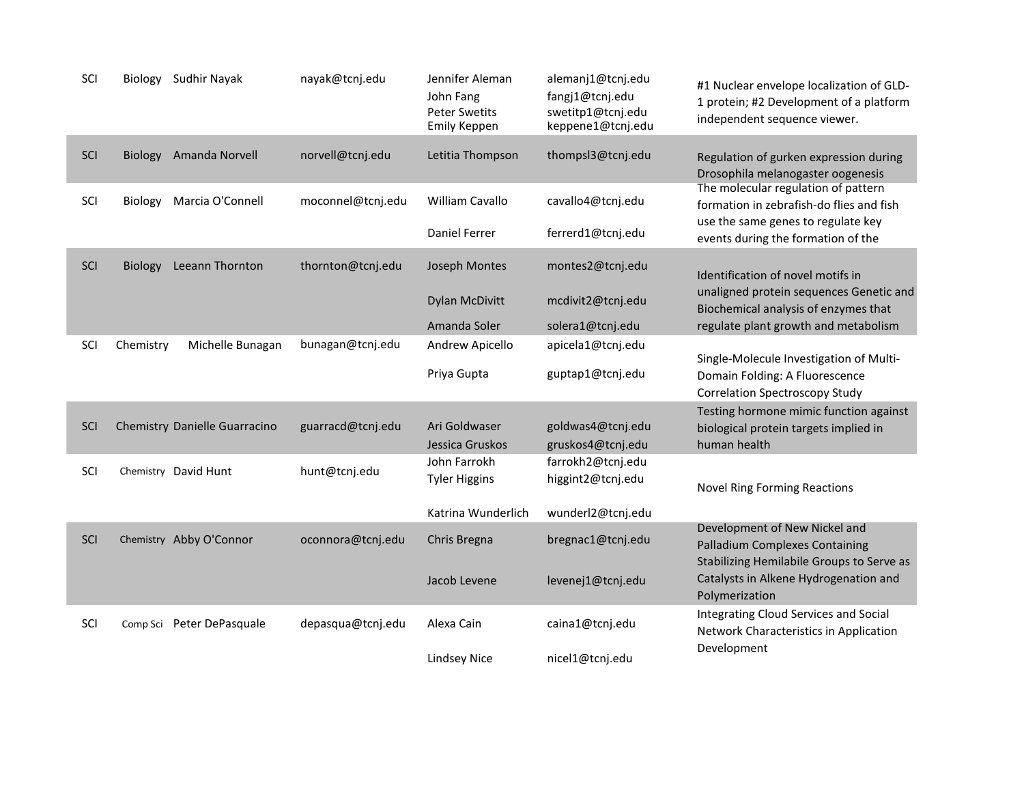| SCI |           | Biology Sudhir Nayak          | nayak@tcnj.edu    | Jennifer Aleman<br>John Fang<br><b>Peter Swetits</b><br><b>Emily Keppen</b> | alemanj1@tcnj.edu<br>fangj1@tcnj.edu<br>swetitp1@tcnj.edu<br>keppene1@tcnj.edu | #1 Nuclear envelope localization of GLD-<br>1 protein; #2 Development of a platform<br>independent sequence viewer.   |
|-----|-----------|-------------------------------|-------------------|-----------------------------------------------------------------------------|--------------------------------------------------------------------------------|-----------------------------------------------------------------------------------------------------------------------|
| SCI |           | Biology Amanda Norvell        | norvell@tcnj.edu  | Letitia Thompson                                                            | thompsl3@tcnj.edu                                                              | Regulation of gurken expression during<br>Drosophila melanogaster oogenesis                                           |
| SCI | Biology   | Marcia O'Connell              | moconnel@tcnj.edu | <b>William Cavallo</b>                                                      | cavallo4@tcnj.edu                                                              | The molecular regulation of pattern<br>formation in zebrafish-do flies and fish<br>use the same genes to regulate key |
|     |           |                               |                   | <b>Daniel Ferrer</b>                                                        | ferrerd1@tcnj.edu                                                              | events during the formation of the                                                                                    |
| SCI | Biology   | Leeann Thornton               | thornton@tcnj.edu | Joseph Montes                                                               | montes2@tcnj.edu                                                               | Identification of novel motifs in                                                                                     |
|     |           |                               |                   | <b>Dylan McDivitt</b>                                                       | mcdivit2@tcnj.edu                                                              | unaligned protein sequences Genetic and<br>Biochemical analysis of enzymes that                                       |
|     |           |                               |                   | Amanda Soler                                                                | solera1@tcnj.edu                                                               | regulate plant growth and metabolism                                                                                  |
| SCI | Chemistry | Michelle Bunagan              | bunagan@tcnj.edu  | Andrew Apicello                                                             | apicela1@tcnj.edu                                                              | Single-Molecule Investigation of Multi-                                                                               |
|     |           |                               |                   | Priya Gupta                                                                 | guptap1@tcnj.edu                                                               | Domain Folding: A Fluorescence<br><b>Correlation Spectroscopy Study</b>                                               |
|     |           |                               |                   |                                                                             |                                                                                | Testing hormone mimic function against                                                                                |
| SCI |           | Chemistry Danielle Guarracino | guarracd@tcnj.edu | Ari Goldwaser                                                               | goldwas4@tcnj.edu                                                              | biological protein targets implied in                                                                                 |
|     |           |                               |                   | Jessica Gruskos                                                             | gruskos4@tcnj.edu                                                              | human health                                                                                                          |
| SCI |           | Chemistry David Hunt          | hunt@tcnj.edu     | John Farrokh                                                                | farrokh2@tcnj.edu                                                              |                                                                                                                       |
|     |           |                               |                   | <b>Tyler Higgins</b>                                                        | higgint2@tcnj.edu                                                              | <b>Novel Ring Forming Reactions</b>                                                                                   |
|     |           |                               |                   | Katrina Wunderlich                                                          | wunderl2@tcnj.edu                                                              |                                                                                                                       |
| SCI |           | Chemistry Abby O'Connor       | oconnora@tcnj.edu | Chris Bregna                                                                | bregnac1@tcnj.edu                                                              | Development of New Nickel and<br><b>Palladium Complexes Containing</b><br>Stabilizing Hemilabile Groups to Serve as   |
|     |           |                               |                   | Jacob Levene                                                                | levenej1@tcnj.edu                                                              | Catalysts in Alkene Hydrogenation and<br>Polymerization                                                               |
| SCI |           | Comp Sci Peter DePasquale     | depasqua@tcnj.edu | Alexa Cain                                                                  | caina1@tcnj.edu                                                                | Integrating Cloud Services and Social<br>Network Characteristics in Application                                       |
|     |           |                               |                   | Lindsey Nice                                                                | nicel1@tcnj.edu                                                                | Development                                                                                                           |